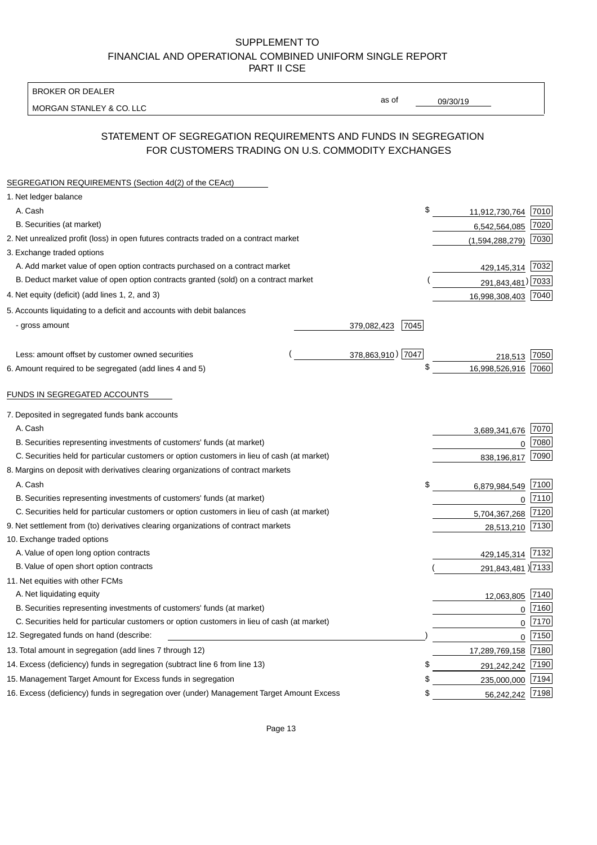BROKER OR DEALER

MORGAN STANLEY & CO. LLC

09/30/19

as of

# STATEMENT OF SEGREGATION REQUIREMENTS AND FUNDS IN SEGREGATION FOR CUSTOMERS TRADING ON U.S. COMMODITY EXCHANGES

| SEGREGATION REQUIREMENTS (Section 4d(2) of the CEAct)                                       |                   |      |                     |      |
|---------------------------------------------------------------------------------------------|-------------------|------|---------------------|------|
| 1. Net ledger balance                                                                       |                   |      |                     |      |
| A. Cash                                                                                     |                   | \$   | 11,912,730,764 7010 |      |
| B. Securities (at market)                                                                   |                   |      | 6,542,564,085       | 7020 |
| 2. Net unrealized profit (loss) in open futures contracts traded on a contract market       |                   |      | (1,594,288,279)     | 7030 |
| 3. Exchange traded options                                                                  |                   |      |                     |      |
| A. Add market value of open option contracts purchased on a contract market                 |                   |      | 429,145,314 7032    |      |
| B. Deduct market value of open option contracts granted (sold) on a contract market         |                   |      | 291,843,481) 7033   |      |
| 4. Net equity (deficit) (add lines 1, 2, and 3)                                             |                   |      | 16,998,308,403 7040 |      |
| 5. Accounts liquidating to a deficit and accounts with debit balances                       |                   |      |                     |      |
| - gross amount                                                                              | 379,082,423       | 7045 |                     |      |
|                                                                                             |                   |      |                     |      |
| Less: amount offset by customer owned securities                                            | 378,863,910) 7047 |      | 218,513             | 7050 |
| 6. Amount required to be segregated (add lines 4 and 5)                                     |                   | \$   | 16,998,526,916      | 7060 |
|                                                                                             |                   |      |                     |      |
| FUNDS IN SEGREGATED ACCOUNTS                                                                |                   |      |                     |      |
| 7. Deposited in segregated funds bank accounts                                              |                   |      |                     |      |
| A. Cash                                                                                     |                   |      | 3,689,341,676       | 7070 |
| B. Securities representing investments of customers' funds (at market)                      |                   |      | $\Omega$            | 7080 |
| C. Securities held for particular customers or option customers in lieu of cash (at market) |                   |      | 838,196,817         | 7090 |
| 8. Margins on deposit with derivatives clearing organizations of contract markets           |                   |      |                     |      |
| A. Cash                                                                                     |                   | \$   | 6,879,984,549       | 7100 |
| B. Securities representing investments of customers' funds (at market)                      |                   |      | $\mathbf{0}$        | 7110 |
| C. Securities held for particular customers or option customers in lieu of cash (at market) |                   |      | 5,704,367,268       | 7120 |
| 9. Net settlement from (to) derivatives clearing organizations of contract markets          |                   |      | 28,513,210          | 7130 |
| 10. Exchange traded options                                                                 |                   |      |                     |      |
| A. Value of open long option contracts                                                      |                   |      | 429,145,314 7132    |      |
| B. Value of open short option contracts                                                     |                   |      | 291,843,481 ) 7133  |      |
| 11. Net equities with other FCMs                                                            |                   |      |                     |      |
| A. Net liquidating equity                                                                   |                   |      | 12,063,805          | 7140 |
| B. Securities representing investments of customers' funds (at market)                      |                   |      | $\Omega$            | 7160 |
| C. Securities held for particular customers or option customers in lieu of cash (at market) |                   |      | $\mathbf 0$         | 7170 |
| 12. Segregated funds on hand (describe:                                                     |                   |      | $\mathbf 0$         | 7150 |
| 13. Total amount in segregation (add lines 7 through 12)                                    |                   |      | 17,289,769,158 7180 |      |
| 14. Excess (deficiency) funds in segregation (subtract line 6 from line 13)                 |                   | S    | 291,242,242         | 7190 |
| 15. Management Target Amount for Excess funds in segregation                                |                   | \$   | 235,000,000         | 7194 |
| 16. Excess (deficiency) funds in segregation over (under) Management Target Amount Excess   |                   | \$   | 56,242,242          | 7198 |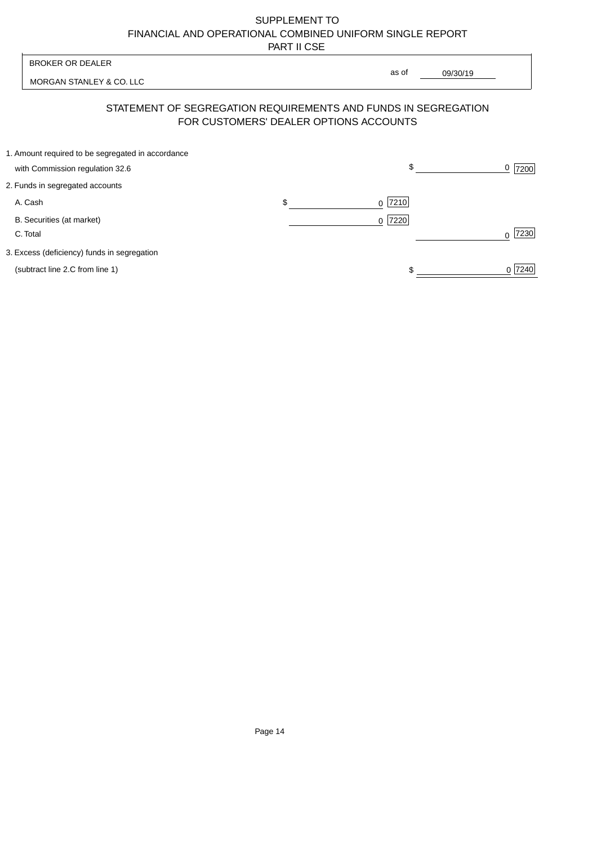|                                                                                                          | <b>BROKER OR DEALER</b>                                                              |    | as of                |          |                  |
|----------------------------------------------------------------------------------------------------------|--------------------------------------------------------------------------------------|----|----------------------|----------|------------------|
|                                                                                                          | MORGAN STANLEY & CO. LLC                                                             |    |                      | 09/30/19 |                  |
| STATEMENT OF SEGREGATION REQUIREMENTS AND FUNDS IN SEGREGATION<br>FOR CUSTOMERS' DEALER OPTIONS ACCOUNTS |                                                                                      |    |                      |          |                  |
|                                                                                                          | 1. Amount required to be segregated in accordance<br>with Commission regulation 32.6 |    | \$                   |          | 0<br>7200        |
|                                                                                                          | 2. Funds in segregated accounts                                                      |    |                      |          |                  |
|                                                                                                          | A. Cash                                                                              | \$ | 7210<br><sup>0</sup> |          |                  |
|                                                                                                          | B. Securities (at market)<br>C. Total                                                |    | 0 7220               |          | 7230<br>$\Omega$ |
|                                                                                                          | 3. Excess (deficiency) funds in segregation                                          |    |                      |          |                  |
|                                                                                                          | (subtract line 2.C from line 1)                                                      |    |                      |          | 0 7240           |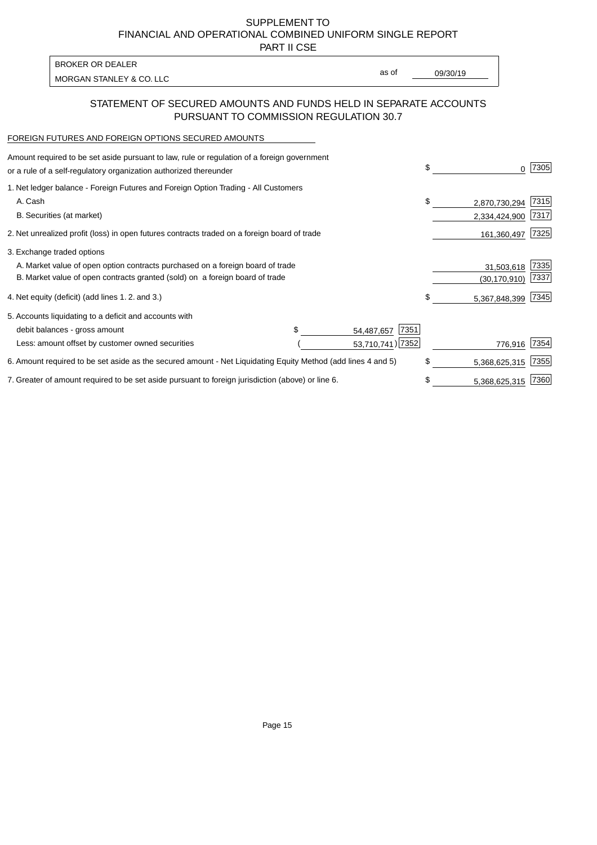PART II CSE

| <b>BROKER OR DEALER</b>  |       |          |
|--------------------------|-------|----------|
| MORGAN STANLEY & CO. LLC | as of | 09/30/19 |
|                          |       |          |

#### STATEMENT OF SECURED AMOUNTS AND FUNDS HELD IN SEPARATE ACCOUNTS PURSUANT TO COMMISSION REGULATION 30.7

#### FOREIGN FUTURES AND FOREIGN OPTIONS SECURED AMOUNTS

| Amount required to be set aside pursuant to law, rule or regulation of a foreign government<br>or a rule of a self-regulatory organization authorized thereunder | \$                 | 0              | 7305 |
|------------------------------------------------------------------------------------------------------------------------------------------------------------------|--------------------|----------------|------|
| 1. Net ledger balance - Foreign Futures and Foreign Option Trading - All Customers                                                                               |                    |                |      |
| A. Cash                                                                                                                                                          | \$                 | 2,870,730,294  | 7315 |
| B. Securities (at market)                                                                                                                                        |                    | 2,334,424,900  | 7317 |
| 2. Net unrealized profit (loss) in open futures contracts traded on a foreign board of trade                                                                     |                    | 161,360,497    | 7325 |
| 3. Exchange traded options                                                                                                                                       |                    |                |      |
| A. Market value of open option contracts purchased on a foreign board of trade                                                                                   |                    | 31,503,618     | 7335 |
| B. Market value of open contracts granted (sold) on a foreign board of trade                                                                                     |                    | (30, 170, 910) | 7337 |
| 4. Net equity (deficit) (add lines 1.2. and 3.)                                                                                                                  | \$                 | 5,367,848,399  | 7345 |
| 5. Accounts liquidating to a deficit and accounts with                                                                                                           |                    |                |      |
| debit balances - gross amount                                                                                                                                    | 7351<br>54,487,657 |                |      |
| Less: amount offset by customer owned securities                                                                                                                 | 53,710,741) 7352   | 776,916        | 7354 |
| 6. Amount required to be set aside as the secured amount - Net Liquidating Equity Method (add lines 4 and 5)                                                     | \$                 | 5,368,625,315  | 7355 |
| 7. Greater of amount required to be set aside pursuant to foreign jurisdiction (above) or line 6.                                                                |                    | 5,368,625,315  | 7360 |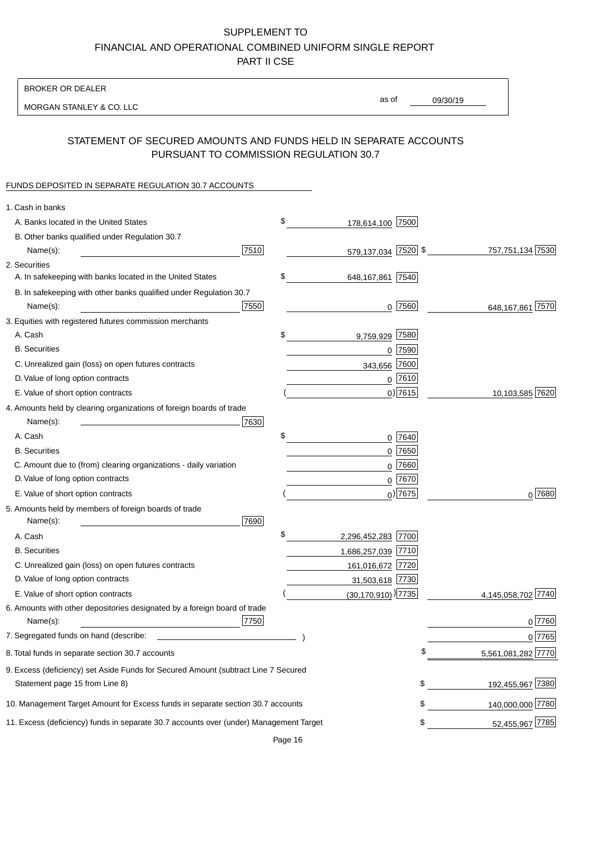BROKER OR DEALER

MORGAN STANLEY & CO. LLC

09/30/19

as of

# STATEMENT OF SECURED AMOUNTS AND FUNDS HELD IN SEPARATE ACCOUNTS PURSUANT TO COMMISSION REGULATION 30.7

# FUNDS DEPOSITED IN SEPARATE REGULATION 30.7 ACCOUNTS

| 1. Cash in banks                                                                                                     |      |                                      |                        |        |
|----------------------------------------------------------------------------------------------------------------------|------|--------------------------------------|------------------------|--------|
| A. Banks located in the United States                                                                                | \$   | 178,614,100 7500                     |                        |        |
| B. Other banks qualified under Regulation 30.7                                                                       |      |                                      |                        |        |
| 7510<br>Name(s):                                                                                                     |      | 579,137,034 7520 \$                  | 757,751,134 7530       |        |
| 2. Securities                                                                                                        |      |                                      |                        |        |
| A. In safekeeping with banks located in the United States                                                            | \$   | 648, 167, 861 7540                   |                        |        |
| B. In safekeeping with other banks qualified under Regulation 30.7                                                   |      |                                      |                        |        |
| 7550<br>Name(s):                                                                                                     |      | $0$ 7560                             | 648,167,861 7570       |        |
| 3. Equities with registered futures commission merchants                                                             |      |                                      |                        |        |
| A. Cash                                                                                                              | \$   | 7580<br>9,759,929                    |                        |        |
| <b>B.</b> Securities                                                                                                 |      | $0$ 7590                             |                        |        |
| C. Unrealized gain (loss) on open futures contracts                                                                  |      | 7600<br>343,656                      |                        |        |
| D. Value of long option contracts                                                                                    |      | $0$ 7610                             |                        |        |
| E. Value of short option contracts                                                                                   |      | $0)$ 7615                            | 10,103,585 7620        |        |
| 4. Amounts held by clearing organizations of foreign boards of trade                                                 |      |                                      |                        |        |
| Name(s):                                                                                                             | 7630 |                                      |                        |        |
| A. Cash                                                                                                              | \$   | 0 7640                               |                        |        |
| <b>B.</b> Securities                                                                                                 |      | $0$ 7650                             |                        |        |
| C. Amount due to (from) clearing organizations - daily variation                                                     |      | 7660<br>0                            |                        |        |
| D. Value of long option contracts                                                                                    |      | 0 7670                               |                        |        |
| E. Value of short option contracts                                                                                   |      | $_0$ ) 7675                          |                        | 0 7680 |
| 5. Amounts held by members of foreign boards of trade<br>7690<br>Name(s):                                            |      |                                      |                        |        |
| A. Cash                                                                                                              | \$   | 2,296,452,283 7700                   |                        |        |
| <b>B.</b> Securities                                                                                                 |      | 1,686,257,039 7710                   |                        |        |
| C. Unrealized gain (loss) on open futures contracts                                                                  |      | 161,016,672 7720                     |                        |        |
| D. Value of long option contracts                                                                                    |      | 31,503,618 7730                      |                        |        |
| E. Value of short option contracts                                                                                   |      | $(30, 170, 910)$ <sup>)</sup> [7735] | 4,145,058,702 7740     |        |
| 6. Amounts with other depositories designated by a foreign board of trade<br>Name(s):                                | 7750 |                                      |                        | 0 7760 |
| 7. Segregated funds on hand (describe:                                                                               |      |                                      |                        | 0 7765 |
| 8. Total funds in separate section 30.7 accounts                                                                     |      |                                      | 5,561,081,282 7770     |        |
| 9. Excess (deficiency) set Aside Funds for Secured Amount (subtract Line 7 Secured<br>Statement page 15 from Line 8) |      |                                      | 192,455,967 7380<br>\$ |        |
| 10. Management Target Amount for Excess funds in separate section 30.7 accounts                                      |      |                                      | 140,000,000 7780<br>\$ |        |
|                                                                                                                      |      |                                      |                        |        |
| 11. Excess (deficiency) funds in separate 30.7 accounts over (under) Management Target                               |      |                                      | 52,455,967 7785<br>\$  |        |